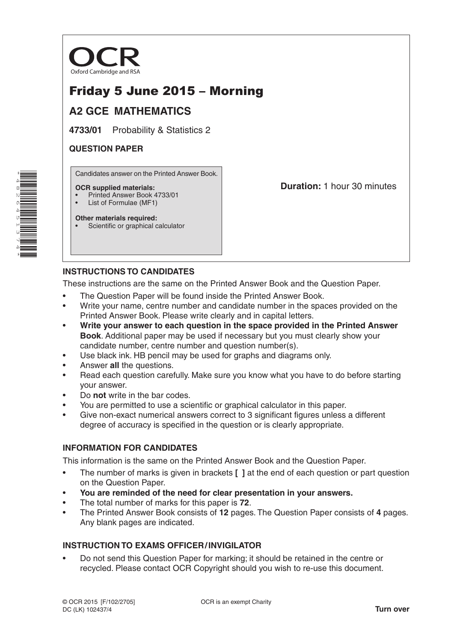

# Friday 5 June 2015 – Morning

## **A2 GCE MATHEMATICS**

**4733/01** Probability & Statistics 2

#### **QUESTION PAPER**

Candidates answer on the Printed Answer Book.

#### **OCR supplied materials:**

- Printed Answer Book 4733/01
- List of Formulae (MF1)

**Other materials required:** Scientific or graphical calculator **Duration:** 1 hour 30 minutes

## **INSTRUCTIONS TO CANDIDATES**

These instructions are the same on the Printed Answer Book and the Question Paper.

- The Question Paper will be found inside the Printed Answer Book.
- Write your name, centre number and candidate number in the spaces provided on the Printed Answer Book. Please write clearly and in capital letters.
- **Write your answer to each question in the space provided in the Printed Answer Book**. Additional paper may be used if necessary but you must clearly show your candidate number, centre number and question number(s).
- Use black ink. HB pencil may be used for graphs and diagrams only.
- Answer **all** the questions.
- Read each question carefully. Make sure you know what you have to do before starting your answer.
- Do **not** write in the bar codes.
- You are permitted to use a scientific or graphical calculator in this paper.
- Give non-exact numerical answers correct to 3 significant figures unless a different degree of accuracy is specified in the question or is clearly appropriate.

### **INFORMATION FOR CANDIDATES**

This information is the same on the Printed Answer Book and the Question Paper.

- The number of marks is given in brackets **[ ]** at the end of each question or part question on the Question Paper.
- **You are reminded of the need for clear presentation in your answers.**
- The total number of marks for this paper is **72**.
- The Printed Answer Book consists of **12** pages. The Question Paper consists of **4** pages. Any blank pages are indicated.

### **INSTRUCTION TO EXAMS OFFICER/INVIGILATOR**

• Do not send this Question Paper for marking; it should be retained in the centre or recycled. Please contact OCR Copyright should you wish to re-use this document.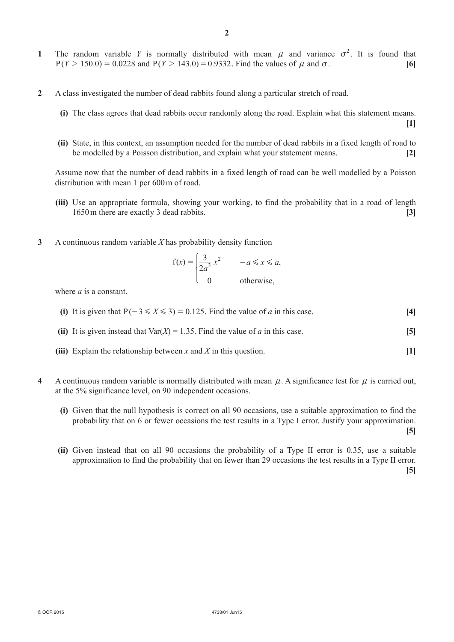- **1** The random variable *Y* is normally distributed with mean  $\mu$  and variance  $\sigma^2$ . It is found that  $P(Y > 150.0) = 0.0228$  and  $P(Y > 143.0) = 0.9332$ . Find the values of  $\mu$  and  $\sigma$ . [6]
- **2**  A class investigated the number of dead rabbits found along a particular stretch of road.
	- **(i)** The class agrees that dead rabbits occur randomly along the road. Explain what this statement means.

**[1]**

**(ii)** State, in this context, an assumption needed for the number of dead rabbits in a fixed length of road to be modelled by a Poisson distribution, and explain what your statement means. **[2]**

Assume now that the number of dead rabbits in a fixed length of road can be well modelled by a Poisson distribution with mean 1 per 600 m of road.

- **(iii)** Use an appropriate formula, showing your working, to find the probability that in a road of length 1650m there are exactly 3 dead rabbits. **[3]**
- **3**  A continuous random variable *X* has probability density function

$$
f(x) = \begin{cases} \frac{3}{2a^3} x^2 & -a \le x \le a, \\ 0 & \text{otherwise,} \end{cases}
$$

where  $a$  is a constant.

- **(i)** It is given that  $P(-3 \le X \le 3) = 0.125$ . Find the value of *a* in this case. [4]
- **(ii)** It is given instead that  $\text{Var}(X) = 1.35$ . Find the value of *a* in this case. **[5]**
- **(iii)** Explain the relationship between *x* and *X* in this question.  $[1]$
- **4** A continuous random variable is normally distributed with mean  $\mu$ . A significance test for  $\mu$  is carried out, at the 5% significance level, on 90 independent occasions.
	- **(i)** Given that the null hypothesis is correct on all 90 occasions, use a suitable approximation to find the probability that on 6 or fewer occasions the test results in a Type I error. Justify your approximation. **[5]**
	- **(ii)** Given instead that on all 90 occasions the probability of a Type II error is 0.35, use a suitable approximation to find the probability that on fewer than 29 occasions the test results in a Type II error. **[5]**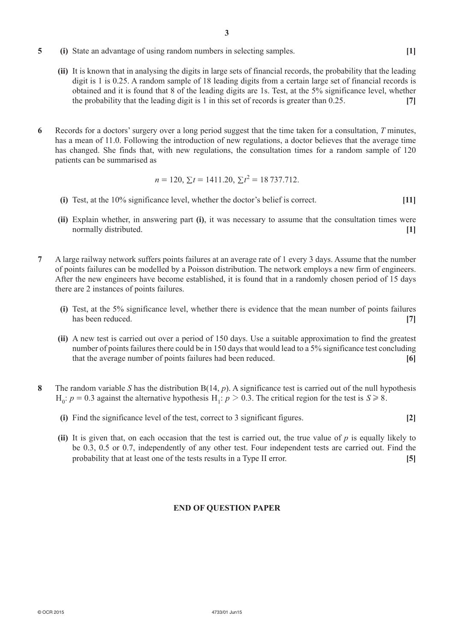- **5** (i) State an advantage of using random numbers in selecting samples. [1]
	- **(ii)** It is known that in analysing the digits in large sets of financial records, the probability that the leading digit is 1 is 0.25. A random sample of 18 leading digits from a certain large set of financial records is obtained and it is found that 8 of the leading digits are 1s. Test, at the 5% significance level, whether the probability that the leading digit is 1 in this set of records is greater than 0.25. **[7]**
- **6**  Records for a doctors' surgery over a long period suggest that the time taken for a consultation, *T* minutes, has a mean of 11.0. Following the introduction of new regulations, a doctor believes that the average time has changed. She finds that, with new regulations, the consultation times for a random sample of 120 patients can be summarised as

$$
n = 120, \Sigma t = 1411.20, \Sigma t^2 = 18737.712.
$$

- **(i)** Test, at the 10% significance level, whether the doctor's belief is correct. **[11]**
- **(ii)** Explain whether, in answering part **(i)**, it was necessary to assume that the consultation times were normally distributed. **[1]**
- **7**  A large railway network suffers points failures at an average rate of 1 every 3 days. Assume that the number of points failures can be modelled by a Poisson distribution. The network employs a new firm of engineers. After the new engineers have become established, it is found that in a randomly chosen period of 15 days there are 2 instances of points failures.
	- **(i)** Test, at the 5% significance level, whether there is evidence that the mean number of points failures has been reduced. **[7] [7]**
	- **(ii)** A new test is carried out over a period of 150 days. Use a suitable approximation to find the greatest number of points failures there could be in 150 days that would lead to a 5% significance test concluding that the average number of points failures had been reduced. **[6]**
- **8**  The random variable *S* has the distribution B(14, *p*). A significance test is carried out of the null hypothesis  $H_0$ :  $p = 0.3$  against the alternative hypothesis  $H_1$ :  $p > 0.3$ . The critical region for the test is  $S \ge 8$ .
	- **(i)** Find the significance level of the test, correct to 3 significant figures. **[2]**
	- **(ii)** It is given that, on each occasion that the test is carried out, the true value of *p* is equally likely to be 0.3, 0.5 or 0.7, independently of any other test. Four independent tests are carried out. Find the probability that at least one of the tests results in a Type II error. **[5]**

#### **END OF QUESTION PAPER**